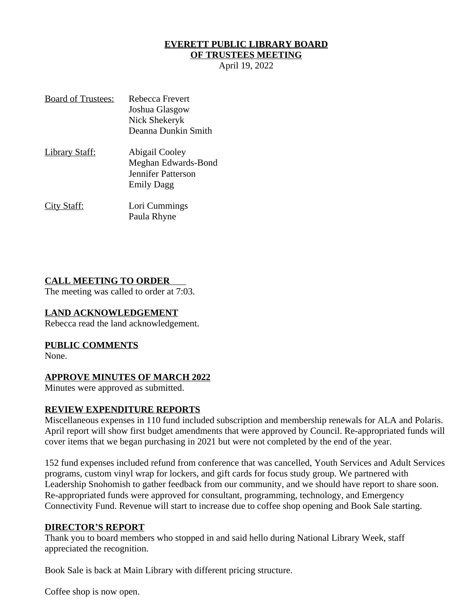### **EVERETT PUBLIC LIBRARY BOARD**

### **OF TRUSTEES MEETING**

April 19, 2022

| <b>Board of Trustees:</b> | Rebecca Frevert     |
|---------------------------|---------------------|
|                           | Joshua Glasgow      |
|                           | Nick Shekeryk       |
|                           | Deanna Dunkin Smith |
| <u> Library Staff:</u>    | Abigail Cooley      |
|                           | Meghan Edwards-Bond |
|                           | Jennifer Patterson  |
|                           | <b>Emily Dagg</b>   |
| <u>City Staff:</u>        | Lori Cummings       |
|                           | Paula Rhyne         |

#### **CALL MEETING TO ORDER**

The meeting was called to order at 7:03.

#### **LAND ACKNOWLEDGEMENT**

Rebecca read the land acknowledgement.

#### **PUBLIC COMMENTS**

None.

#### **APPROVE MINUTES OF MARCH 2022**

Minutes were approved as submitted.

#### **REVIEW EXPENDITURE REPORTS**

Miscellaneous expenses in 110 fund included subscription and membership renewals for ALA and Polaris. April report will show first budget amendments that were approved by Council. Re-appropriated funds will cover items that we began purchasing in 2021 but were not completed by the end of the year.

152 fund expenses included refund from conference that was cancelled, Youth Services and Adult Services programs, custom vinyl wrap for lockers, and gift cards for focus study group. We partnered with Leadership Snohomish to gather feedback from our community, and we should have report to share soon. Re-appropriated funds were approved for consultant, programming, technology, and Emergency Connectivity Fund. Revenue will start to increase due to coffee shop opening and Book Sale starting.

#### **DIRECTOR'S REPORT**

Thank you to board members who stopped in and said hello during National Library Week, staff appreciated the recognition.

Book Sale is back at Main Library with different pricing structure.

Coffee shop is now open.